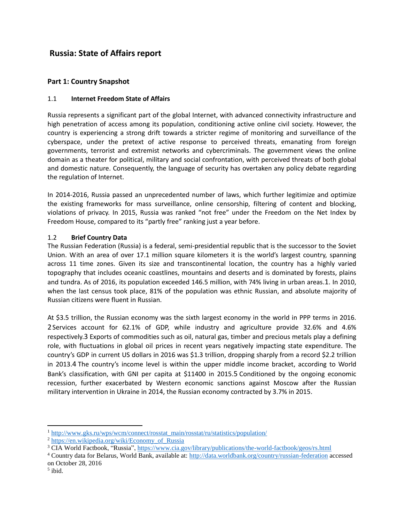# **Russia: State of Affairs report**

# **Part 1: Country Snapshot**

# 1.1 **Internet Freedom State of Affairs**

Russia represents a significant part of the global Internet, with advanced connectivity infrastructure and high penetration of access among its population, conditioning active online civil society. However, the country is experiencing a strong drift towards a stricter regime of monitoring and surveillance of the cyberspace, under the pretext of active response to perceived threats, emanating from foreign governments, terrorist and extremist networks and cybercriminals. The government views the online domain as a theater for political, military and social confrontation, with perceived threats of both global and domestic nature. Consequently, the language of security has overtaken any policy debate regarding the regulation of Internet.

In 2014-2016, Russia passed an unprecedented number of laws, which further legitimize and optimize the existing frameworks for mass surveillance, online censorship, filtering of content and blocking, violations of privacy. In 2015, Russia was ranked "not free" under the Freedom on the Net Index by Freedom House, compared to its "partly free" ranking just a year before.

### 1.2 **Brief Country Data**

The Russian Federation (Russia) is a federal, semi-presidential republic that is the successor to the Soviet Union. With an area of over 17.1 million square kilometers it is the world's largest country, spanning across 11 time zones. Given its size and transcontinental location, the country has a highly varied topography that includes oceanic coastlines, mountains and deserts and is dominated by forests, plains and tundra. As of 2016, its population exceeded 146.5 million, with 74% living in urban areas.1. In 2010, when the last census took place, 81% of the population was ethnic Russian, and absolute majority of Russian citizens were fluent in Russian.

At \$3.5 trillion, the Russian economy was the sixth largest economy in the world in PPP terms in 2016. 2Services account for 62.1% of GDP, while industry and agriculture provide 32.6% and 4.6% respectively.3 Exports of commodities such as oil, natural gas, timber and precious metals play a defining role, with fluctuations in global oil prices in recent years negatively impacting state expenditure. The country's GDP in current US dollars in 2016 was \$1.3 trillion, dropping sharply from a record \$2.2 trillion in 2013.4 The country's income level is within the upper middle income bracket, according to World Bank's classification, with GNI per capita at \$11400 in 2015.5 Conditioned by the ongoing economic recession, further exacerbated by Western economic sanctions against Moscow after the Russian military intervention in Ukraine in 2014, the Russian economy contracted by 3.7% in 2015.

<sup>&</sup>lt;sup>1</sup> [http://www.gks.ru/wps/wcm/connect/rosstat\\_main/rosstat/ru/statistics/population/](http://www.gks.ru/wps/wcm/connect/rosstat_main/rosstat/ru/statistics/population/)

<sup>&</sup>lt;sup>2</sup> [https://en.wikipedia.org/wiki/Economy\\_of\\_Russia](https://en.wikipedia.org/wiki/Economy_of_Russia)

<sup>&</sup>lt;sup>3</sup> CIA World Factbook, "Russia",<https://www.cia.gov/library/publications/the-world-factbook/geos/rs.html>

<sup>4</sup> Country data for Belarus, World Bank, available at:<http://data.worldbank.org/country/russian-federation> accessed on October 28, 2016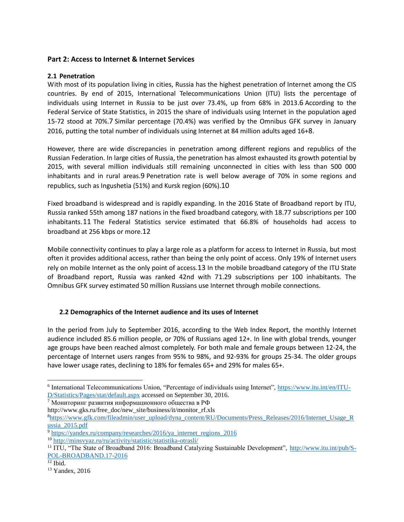# **Part 2: Access to Internet & Internet Services**

#### **2.1 Penetration**

With most of its population living in cities, Russia has the highest penetration of Internet among the CIS countries. By end of 2015, International Telecommunications Union (ITU) lists the percentage of individuals using Internet in Russia to be just over 73.4%, up from 68% in 2013.6 According to the Federal Service of State Statistics, in 2015 the share of individuals using Internet in the population aged 15-72 stood at 70%.7 Similar percentage (70.4%) was verified by the Omnibus GFK survey in January 2016, putting the total number of individuals using Internet at 84 million adults aged 16+8.

However, there are wide discrepancies in penetration among different regions and republics of the Russian Federation. In large cities of Russia, the penetration has almost exhausted its growth potential by 2015, with several million individuals still remaining unconnected in cities with less than 500 000 inhabitants and in rural areas.9 Penetration rate is well below average of 70% in some regions and republics, such as Ingushetia (51%) and Kursk region (60%).10

Fixed broadband is widespread and is rapidly expanding. In the 2016 State of Broadband report by ITU, Russia ranked 55th among 187 nations in the fixed broadband category, with 18.77 subscriptions per 100 inhabitants.11 The Federal Statistics service estimated that 66.8% of households had access to broadband at 256 kbps or more.12

Mobile connectivity continues to play a large role as a platform for access to Internet in Russia, but most often it provides additional access, rather than being the only point of access. Only 19% of Internet users rely on mobile Internet as the only point of access.13 In the mobile broadband category of the ITU State of Broadband report, Russia was ranked 42nd with 71.29 subscriptions per 100 inhabitants. The Omnibus GFK survey estimated 50 million Russians use Internet through mobile connections.

# **2.2 Demographics of the Internet audience and its uses of Internet**

In the period from July to September 2016, according to the Web Index Report, the monthly Internet audience included 85.6 million people, or 70% of Russians aged 12+. In line with global trends, younger age groups have been reached almost completely. For both male and female groups between 12-24, the percentage of Internet users ranges from 95% to 98%, and 92-93% for groups 25-34. The older groups have lower usage rates, declining to 18% for females 65+ and 29% for males 65+.

<sup>&</sup>lt;sup>6</sup> International Telecommunications Union, "Percentage of individuals using Internet", [https://www.itu.int/en/ITU-](https://www.itu.int/en/ITU-D/Statistics/Pages/stat/default.aspx)[D/Statistics/Pages/stat/default.aspx](https://www.itu.int/en/ITU-D/Statistics/Pages/stat/default.aspx) accessed on September 30, 2016.

<sup>7</sup> Мониторинг развития информационного общества в РФ

http://www.gks.ru/free\_doc/new\_site/business/it/monitor\_rf.xls

<sup>8</sup>[https://www.gfk.com/fileadmin/user\\_upload/dyna\\_content/RU/Documents/Press\\_Releases/2016/Internet\\_Usage\\_R](https://www.gfk.com/fileadmin/user_upload/dyna_content/RU/Documents/Press_Releases/2016/Internet_Usage_Russia_2015.pdf) [ussia\\_2015.pdf](https://www.gfk.com/fileadmin/user_upload/dyna_content/RU/Documents/Press_Releases/2016/Internet_Usage_Russia_2015.pdf)

<sup>&</sup>lt;sup>9</sup> [https://yandex.ru/company/researches/2016/ya\\_internet\\_regions\\_2016](https://yandex.ru/company/researches/2016/ya_internet_regions_2016)

<sup>10</sup> <http://minsvyaz.ru/ru/activity/statistic/statistika-otrasli/>

<sup>&</sup>lt;sup>11</sup> ITU, "The State of Broadband 2016: Broadband Catalyzing Sustainable Development", [http://www.itu.int/pub/S-](http://www.itu.int/pub/S-POL-BROADBAND.17-2016)[POL-BROADBAND.17-2016](http://www.itu.int/pub/S-POL-BROADBAND.17-2016) 

 $12$  Ibid.

<sup>&</sup>lt;sup>13</sup> Yandex, 2016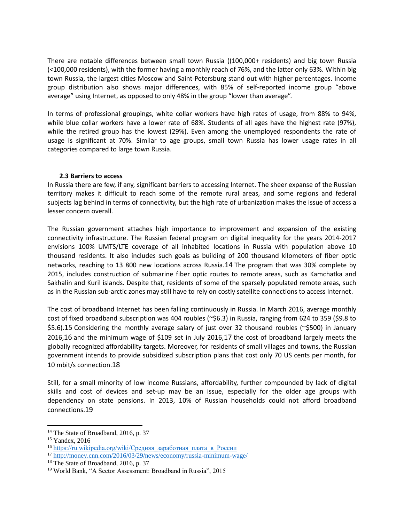There are notable differences between small town Russia ((100,000+ residents) and big town Russia (<100,000 residents), with the former having a monthly reach of 76%, and the latter only 63%. Within big town Russia, the largest cities Moscow and Saint-Petersburg stand out with higher percentages. Income group distribution also shows major differences, with 85% of self-reported income group "above average" using Internet, as opposed to only 48% in the group "lower than average".

In terms of professional groupings, white collar workers have high rates of usage, from 88% to 94%, while blue collar workers have a lower rate of 68%. Students of all ages have the highest rate (97%), while the retired group has the lowest (29%). Even among the unemployed respondents the rate of usage is significant at 70%. Similar to age groups, small town Russia has lower usage rates in all categories compared to large town Russia.

#### **2.3 Barriers to access**

In Russia there are few, if any, significant barriers to accessing Internet. The sheer expanse of the Russian territory makes it difficult to reach some of the remote rural areas, and some regions and federal subjects lag behind in terms of connectivity, but the high rate of urbanization makes the issue of access a lesser concern overall.

The Russian government attaches high importance to improvement and expansion of the existing connectivity infrastructure. The Russian federal program on digital inequality for the years 2014-2017 envisions 100% UMTS/LTE coverage of all inhabited locations in Russia with population above 10 thousand residents. It also includes such goals as building of 200 thousand kilometers of fiber optic networks, reaching to 13 800 new locations across Russia.14 The program that was 30% complete by 2015, includes construction of submarine fiber optic routes to remote areas, such as Kamchatka and Sakhalin and Kuril islands. Despite that, residents of some of the sparsely populated remote areas, such as in the Russian sub-arctic zones may still have to rely on costly satellite connections to access Internet.

The cost of broadband Internet has been falling continuously in Russia. In March 2016, average monthly cost of fixed broadband subscription was 404 roubles (~\$6.3) in Russia, ranging from 624 to 359 (\$9.8 to \$5.6).15 Considering the monthly average salary of just over 32 thousand roubles (~\$500) in January 2016,16 and the minimum wage of \$109 set in July 2016,17 the cost of broadband largely meets the globally recognized affordability targets. Moreover, for residents of small villages and towns, the Russian government intends to provide subsidized subscription plans that cost only 70 US cents per month, for 10 mbit/s connection.18

Still, for a small minority of low income Russians, affordability, further compounded by lack of digital skills and cost of devices and set-up may be an issue, especially for the older age groups with dependency on state pensions. In 2013, 10% of Russian households could not afford broadband connections.19

<sup>&</sup>lt;sup>14</sup> The State of Broadband, 2016, p. 37

<sup>15</sup> Yandex, 2016

<sup>&</sup>lt;sup>16</sup> https://ru.wikipedia.org/wiki/Средняя заработная плата в России

<sup>17</sup> <http://money.cnn.com/2016/03/29/news/economy/russia-minimum-wage/>

<sup>&</sup>lt;sup>18</sup> The State of Broadband, 2016, p. 37

<sup>19</sup> World Bank, "A Sector Assessment: Broadband in Russia", 2015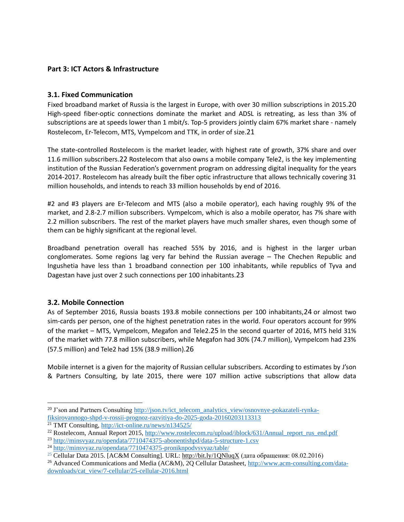# **Part 3: ICT Actors & Infrastructure**

# **3.1. Fixed Communication**

Fixed broadband market of Russia is the largest in Europe, with over 30 million subscriptions in 2015.20 High-speed fiber-optic connections dominate the market and ADSL is retreating, as less than 3% of subscriptions are at speeds lower than 1 mbit/s. Top-5 providers jointly claim 67% market share - namely Rostelecom, Er-Telecom, MTS, Vympelcom and TTK, in order of size.21

The state-controlled Rostelecom is the market leader, with highest rate of growth, 37% share and over 11.6 million subscribers.22 Rostelecom that also owns a mobile company Tele2, is the key implementing institution of the Russian Federation's government program on addressing digital inequality for the years 2014-2017. Rostelecom has already built the fiber optic infrastructure that allows technically covering 31 million households, and intends to reach 33 million households by end of 2016.

#2 and #3 players are Er-Telecom and MTS (also a mobile operator), each having roughly 9% of the market, and 2.8-2.7 million subscribers. Vympelcom, which is also a mobile operator, has 7% share with 2.2 million subscribers. The rest of the market players have much smaller shares, even though some of them can be highly significant at the regional level.

Broadband penetration overall has reached 55% by 2016, and is highest in the larger urban conglomerates. Some regions lag very far behind the Russian average – The Chechen Republic and Ingushetia have less than 1 broadband connection per 100 inhabitants, while republics of Tyva and Dagestan have just over 2 such connections per 100 inhabitants.23

#### **3.2. Mobile Connection**

 $\overline{\phantom{a}}$ 

As of September 2016, Russia boasts 193.8 mobile connections per 100 inhabitants,24 or almost two sim-cards per person, one of the highest penetration rates in the world. Four operators account for 99% of the market – MTS, Vympelcom, Megafon and Tele2.25 In the second quarter of 2016, MTS held 31% of the market with 77.8 million subscribers, while Megafon had 30% (74.7 million), Vympelcom had 23% (57.5 million) and Tele2 had 15% (38.9 million).26

Mobile internet is a given for the majority of Russian cellular subscribers. According to estimates by J'son & Partners Consulting, by late 2015, there were 107 million active subscriptions that allow data

<sup>&</sup>lt;sup>20</sup> J'son and Partners Consulting [http://json.tv/ict\\_telecom\\_analytics\\_view/osnovnye-pokazateli-rynka](http://json.tv/ict_telecom_analytics_view/osnovnye-pokazateli-rynka-fiksirovannogo-shpd-v-rossii-prognoz-razvitiya-do-2025-goda-20160203113313)[fiksirovannogo-shpd-v-rossii-prognoz-razvitiya-do-2025-goda-20160203113313](http://json.tv/ict_telecom_analytics_view/osnovnye-pokazateli-rynka-fiksirovannogo-shpd-v-rossii-prognoz-razvitiya-do-2025-goda-20160203113313)

<sup>21</sup> TMT Consulting,<http://ict-online.ru/news/n134525/>

<sup>&</sup>lt;sup>22</sup> Rostelecom, Annual Report 2015, [http://www.rostelecom.ru/upload/iblock/631/Annual\\_report\\_rus\\_end.pdf](http://www.rostelecom.ru/upload/iblock/631/Annual_report_rus_end.pdf)

<sup>23</sup> <http://minsvyaz.ru/opendata/7710474375-abonentishpd/data-5-structure-1.csv>

<sup>24</sup> <http://minsvyaz.ru/opendata/7710474375-proniknpodvsvyaz/table/>

<sup>&</sup>lt;sup>25</sup> Cellular Data 2015. [AC&M Consulting]. URL:<http://bit.ly/1QNluqX> (дата обращения: 08.02.2016)

<sup>&</sup>lt;sup>26</sup> Advanced Communications and Media (AC&M), 2Q Cellular Datasheet, [http://www.acm-consulting.com/data](http://www.acm-consulting.com/data-downloads/cat_view/7-cellular/25-cellular-2016.html)[downloads/cat\\_view/7-cellular/25-cellular-2016.html](http://www.acm-consulting.com/data-downloads/cat_view/7-cellular/25-cellular-2016.html)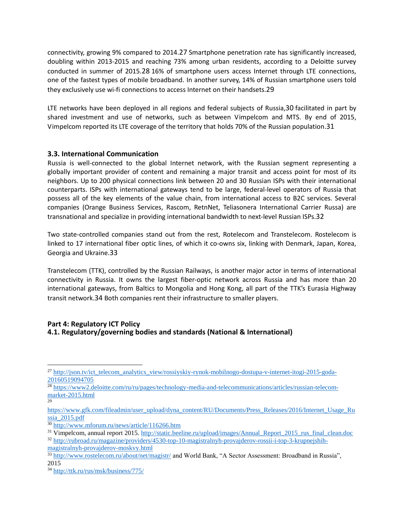connectivity, growing 9% compared to 2014.27 Smartphone penetration rate has significantly increased, doubling within 2013-2015 and reaching 73% among urban residents, according to a Deloitte survey conducted in summer of 2015.28 16% of smartphone users access Internet through LTE connections, one of the fastest types of mobile broadband. In another survey, 14% of Russian smartphone users told they exclusively use wi-fi connections to access Internet on their handsets.29

LTE networks have been deployed in all regions and federal subjects of Russia,30 facilitated in part by shared investment and use of networks, such as between Vimpelcom and MTS. By end of 2015, Vimpelcom reported its LTE coverage of the territory that holds 70% of the Russian population.31

### **3.3. International Communication**

Russia is well-connected to the global Internet network, with the Russian segment representing a globally important provider of content and remaining a major transit and access point for most of its neighbors. Up to 200 physical connections link between 20 and 30 Russian ISPs with their international counterparts. ISPs with international gateways tend to be large, federal-level operators of Russia that possess all of the key elements of the value chain, from international access to B2C services. Several companies (Orange Business Services, Rascom, RetnNet, Teliasonera International Carrier Russa) are transnational and specialize in providing international bandwidth to next-level Russian ISPs.32

Two state-controlled companies stand out from the rest, Rotelecom and Transtelecom. Rostelecom is linked to 17 international fiber optic lines, of which it co-owns six, linking with Denmark, Japan, Korea, Georgia and Ukraine.33

Transtelecom (TTK), controlled by the Russian Railways, is another major actor in terms of international connectivity in Russia. It owns the largest fiber-optic network across Russia and has more than 20 international gateways, from Baltics to Mongolia and Hong Kong, all part of the TTK's Eurasia Highway transit network.34 Both companies rent their infrastructure to smaller players.

### **Part 4: Regulatory ICT Policy 4.1. Regulatory/governing bodies and standards (National & International)**

l

29

<sup>&</sup>lt;sup>27</sup> [http://json.tv/ict\\_telecom\\_analytics\\_view/rossiyskiy-rynok-mobilnogo-dostupa-v-internet-itogi-2015-goda-](http://json.tv/ict_telecom_analytics_view/rossiyskiy-rynok-mobilnogo-dostupa-v-internet-itogi-2015-goda-20160519094705)[20160519094705](http://json.tv/ict_telecom_analytics_view/rossiyskiy-rynok-mobilnogo-dostupa-v-internet-itogi-2015-goda-20160519094705)

<sup>&</sup>lt;sup>28</sup> [https://www2.deloitte.com/ru/ru/pages/technology-media-and-telecommunications/articles/russian-telecom](https://www2.deloitte.com/ru/ru/pages/technology-media-and-telecommunications/articles/russian-telecom-market-2015.html)[market-2015.html](https://www2.deloitte.com/ru/ru/pages/technology-media-and-telecommunications/articles/russian-telecom-market-2015.html)

[https://www.gfk.com/fileadmin/user\\_upload/dyna\\_content/RU/Documents/Press\\_Releases/2016/Internet\\_Usage\\_Ru](https://www.gfk.com/fileadmin/user_upload/dyna_content/RU/Documents/Press_Releases/2016/Internet_Usage_Russia_2015.pdf) [ssia\\_2015.pdf](https://www.gfk.com/fileadmin/user_upload/dyna_content/RU/Documents/Press_Releases/2016/Internet_Usage_Russia_2015.pdf)

<sup>30</sup> <http://www.mforum.ru/news/article/116266.htm>

<sup>&</sup>lt;sup>31</sup> Vimpelcom, annual report 2015[. http://static.beeline.ru/upload/images/Annual\\_Report\\_2015\\_rus\\_final\\_clean.doc](http://static.beeline.ru/upload/images/Annual_Report_2015_rus_final_clean.doc) <sup>32</sup> [http://rubroad.ru/magazine/providers/4530-top-10-magistralnyh-provajderov-rossii-i-top-3-krupnejshih](http://rubroad.ru/magazine/providers/4530-top-10-magistralnyh-provajderov-rossii-i-top-3-krupnejshih-magistralnyh-provajderov-moskvy.html)[magistralnyh-provajderov-moskvy.html](http://rubroad.ru/magazine/providers/4530-top-10-magistralnyh-provajderov-rossii-i-top-3-krupnejshih-magistralnyh-provajderov-moskvy.html)

<sup>33</sup> <http://www.rostelecom.ru/about/net/magistr/> and World Bank, "A Sector Assessment: Broadband in Russia", 2015

<sup>34</sup> <http://ttk.ru/rus/msk/business/775/>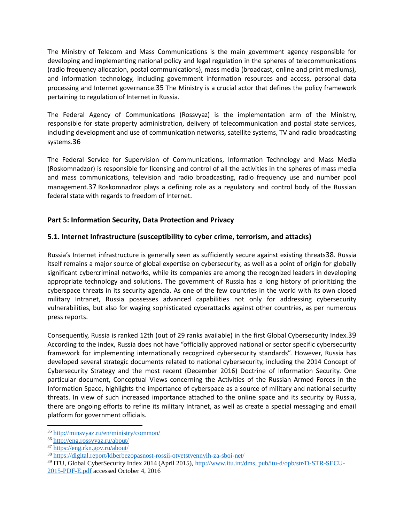The Ministry of Telecom and Mass Communications is the main government agency responsible for developing and implementing national policy and legal regulation in the spheres of telecommunications (radio frequency allocation, postal communications), mass media (broadcast, online and print mediums), and information technology, including government information resources and access, personal data processing and Internet governance.35 The Ministry is a crucial actor that defines the policy framework pertaining to regulation of Internet in Russia.

The Federal Agency of Communications (Rossvyaz) is the implementation arm of the Ministry, responsible for state property administration, delivery of telecommunication and postal state services, including development and use of communication networks, satellite systems, TV and radio broadcasting systems.36

The Federal Service for Supervision of Communications, Information Technology and Mass Media (Roskomnadzor) is responsible for licensing and control of all the activities in the spheres of mass media and mass communications, television and radio broadcasting, radio frequency use and number pool management.37 Roskomnadzor plays a defining role as a regulatory and control body of the Russian federal state with regards to freedom of Internet.

# **Part 5: Information Security, Data Protection and Privacy**

# **5.1. Internet Infrastructure (susceptibility to cyber crime, terrorism, and attacks)**

Russia's Internet infrastructure is generally seen as sufficiently secure against existing threats38. Russia itself remains a major source of global expertise on cybersecurity, as well as a point of origin for globally significant cybercriminal networks, while its companies are among the recognized leaders in developing appropriate technology and solutions. The government of Russia has a long history of prioritizing the cyberspace threats in its security agenda. As one of the few countries in the world with its own closed military Intranet, Russia possesses advanced capabilities not only for addressing cybersecurity vulnerabilities, but also for waging sophisticated cyberattacks against other countries, as per numerous press reports.

Consequently, Russia is ranked 12th (out of 29 ranks available) in the first Global Cybersecurity Index.39 According to the index, Russia does not have "officially approved national or sector specific cybersecurity framework for implementing internationally recognized cybersecurity standards". However, Russia has developed several strategic documents related to national cybersecurity, including the 2014 Concept of Cybersecurity Strategy and the most recent (December 2016) Doctrine of Information Security. One particular document, Conceptual Views concerning the Activities of the Russian Armed Forces in the Information Space, highlights the importance of cyberspace as a source of military and national security threats. In view of such increased importance attached to the online space and its security by Russia, there are ongoing efforts to refine its military Intranet, as well as create a special messaging and email platform for government officials.

<sup>35</sup> <http://minsvyaz.ru/en/ministry/common/>

<sup>36</sup> <http://eng.rossvyaz.ru/about/>

<sup>37</sup> <https://eng.rkn.gov.ru/about/>

<sup>38</sup> <https://digital.report/kiberbezopasnost-rossii-otvetstvennyih-za-sboi-net/>

<sup>&</sup>lt;sup>39</sup> ITU, Global CyberSecurity Index 2014 (April 2015), [http://www.itu.int/dms\\_pub/itu-d/opb/str/D-STR-SECU-](http://www.itu.int/dms_pub/itu-d/opb/str/D-STR-SECU-2015-PDF-E.pdf)[2015-PDF-E.pdf](http://www.itu.int/dms_pub/itu-d/opb/str/D-STR-SECU-2015-PDF-E.pdf) accessed October 4, 2016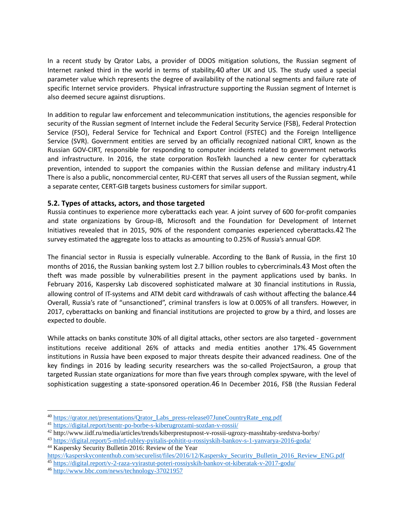In a recent study by Qrator Labs, a provider of DDOS mitigation solutions, the Russian segment of Internet ranked third in the world in terms of stability,40 after UK and US. The study used a special parameter value which represents the degree of availability of the national segments and failure rate of specific Internet service providers. Physical infrastructure supporting the Russian segment of Internet is also deemed secure against disruptions.

In addition to regular law enforcement and telecommunication institutions, the agencies responsible for security of the Russian segment of Internet include the Federal Security Service (FSB), Federal Protection Service (FSO), Federal Service for Technical and Export Control (FSTEC) and the Foreign Intelligence Service (SVR). Government entities are served by an officially recognized national CIRT, known as the Russian GOV-CIRT, responsible for responding to computer incidents related to government networks and infrastructure. In 2016, the state corporation RosTekh launched a new center for cyberattack prevention, intended to support the companies within the Russian defense and military industry.41 There is also a public, noncommercial center, RU-CERT that serves all users of the Russian segment, while a separate center, CERT-GIB targets business customers for similar support.

### **5.2. Types of attacks, actors, and those targeted**

Russia continues to experience more cyberattacks each year. A joint survey of 600 for-profit companies and state organizations by Group-IB, Microsoft and the Foundation for Development of Internet Initiatives revealed that in 2015, 90% of the respondent companies experienced cyberattacks.42 The survey estimated the aggregate loss to attacks as amounting to 0.25% of Russia's annual GDP.

The financial sector in Russia is especially vulnerable. According to the Bank of Russia, in the first 10 months of 2016, the Russian banking system lost 2.7 billion roubles to cybercriminals.43 Most often the theft was made possible by vulnerabilities present in the payment applications used by banks. In February 2016, Kaspersky Lab discovered sophisticated malware at 30 financial institutions in Russia, allowing control of IT-systems and ATM debit card withdrawals of cash without affecting the balance.44 Overall, Russia's rate of "unsanctioned", criminal transfers is low at 0.005% of all transfers. However, in 2017, cyberattacks on banking and financial institutions are projected to grow by a third, and losses are expected to double.

While attacks on banks constitute 30% of all digital attacks, other sectors are also targeted - government institutions receive additional 26% of attacks and media entities another 17%.45 Government institutions in Russia have been exposed to major threats despite their advanced readiness. One of the key findings in 2016 by leading security researchers was the so-called ProjectSauron, a group that targeted Russian state organizations for more than five years through complex spyware, with the level of sophistication suggesting a state-sponsored operation.46 In December 2016, FSB (the Russian Federal

<sup>44</sup> Kaspersky Security Bulletin 2016: Review of the Year

l

<sup>40</sup> [https://qrator.net/presentations/Qrator\\_Labs\\_press-release07JuneCountryRate\\_eng.pdf](https://qrator.net/presentations/Qrator_Labs_press-release07JuneCountryRate_eng.pdf)

<sup>41</sup> <https://digital.report/tsentr-po-borbe-s-kiberugrozami-sozdan-v-rossii/>

<sup>42</sup> http://www.iidf.ru/media/articles/trends/kiberprestupnost-v-rossii-ugrozy-masshtaby-sredstva-borby/

<sup>43</sup> <https://digital.report/5-mlrd-rubley-pyitalis-pohitit-u-rossiyskih-bankov-s-1-yanvarya-2016-goda/>

[https://kasperskycontenthub.com/securelist/files/2016/12/Kaspersky\\_Security\\_Bulletin\\_2016\\_Review\\_ENG.pdf](https://kasperskycontenthub.com/securelist/files/2016/12/Kaspersky_Security_Bulletin_2016_Review_ENG.pdf) <sup>45</sup> <https://digital.report/v-2-raza-vyirastut-poteri-rossiyskih-bankov-ot-kiberatak-v-2017-godu/>

<sup>46</sup> <http://www.bbc.com/news/technology-37021957>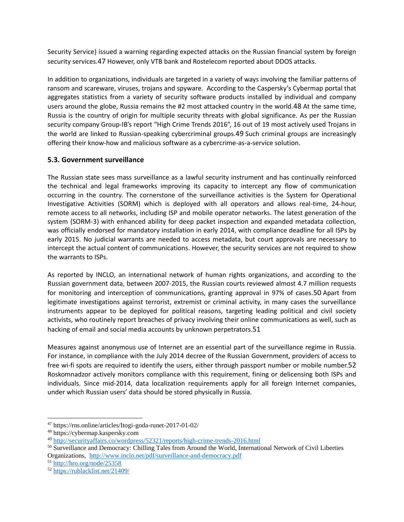Security Service) issued a warning regarding expected attacks on the Russian financial system by foreign security services.47 However, only VTB bank and Rostelecom reported about DDOS attacks.

In addition to organizations, individuals are targeted in a variety of ways involving the familiar patterns of ransom and scareware, viruses, trojans and spyware. According to the Caspersky's Cybermap portal that aggregates statistics from a variety of security software products installed by individual and company users around the globe, Russia remains the #2 most attacked country in the world.48 At the same time, Russia is the country of origin for multiple security threats with global significance. As per the Russian security company Group-IB's report "High Crime Trends 2016", 16 out of 19 most actively used Trojans in the world are linked to Russian-speaking cybercriminal groups.49 Such criminal groups are increasingly offering their know-how and malicious software as a cybercrime-as-a-service solution.

# **5.3. Government surveillance**

The Russian state sees mass surveillance as a lawful security instrument and has continually reinforced the technical and legal frameworks improving its capacity to intercept any flow of communication occurring in the country. The cornerstone of the surveillance activities is the System for Operational Investigative Activities (SORM) which is deployed with all operators and allows real-time, 24-hour, remote access to all networks, including ISP and mobile operator networks. The latest generation of the system (SORM-3) with enhanced ability for deep packet inspection and expanded metadata collection, was officially endorsed for mandatory installation in early 2014, with compliance deadline for all ISPs by early 2015. No judicial warrants are needed to access metadata, but court approvals are necessary to intercept the actual content of communications. However, the security services are not required to show the warrants to ISPs.

As reported by INCLO, an international network of human rights organizations, and according to the Russian government data, between 2007-2015, the Russian courts reviewed almost 4.7 million requests for monitoring and interception of communications, granting approval in 97% of cases.50 Apart from legitimate investigations against terrorist, extremist or criminal activity, in many cases the surveillance instruments appear to be deployed for political reasons, targeting leading political and civil society activists, who routinely report breaches of privacy involving their online communications as well, such as hacking of email and social media accounts by unknown perpetrators.51

Measures against anonymous use of Internet are an essential part of the surveillance regime in Russia. For instance, in compliance with the July 2014 decree of the Russian Government, providers of access to free wi-fi spots are required to identify the users, either through passport number or mobile number.52 Roskomnadzor actively monitors compliance with this requirement, fining or delicensing both ISPs and individuals. Since mid-2014, data localization requirements apply for all foreign Internet companies, under which Russian users' data should be stored physically in Russia.

<sup>47</sup> https://rns.online/articles/Itogi-goda-runet-2017-01-02/

<sup>48</sup> https://cybermap.kaspersky.com

<sup>49</sup> <http://securityaffairs.co/wordpress/52321/reports/high-crime-trends-2016.html>

<sup>50</sup> Surveillance and Democracy: Chilling Tales from Around the World, International Network of Civil Liberties Organizations, <http://www.inclo.net/pdf/surveillance-and-democracy.pdf>

<sup>51</sup> <http://hro.org/node/25358>

<sup>52</sup> <https://rublacklist.net/21409/>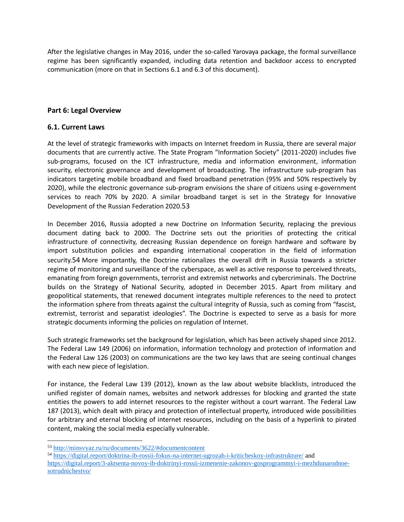After the legislative changes in May 2016, under the so-called Yarovaya package, the formal surveillance regime has been significantly expanded, including data retention and backdoor access to encrypted communication (more on that in Sections 6.1 and 6.3 of this document).

# **Part 6: Legal Overview**

### **6.1. Current Laws**

At the level of strategic frameworks with impacts on Internet freedom in Russia, there are several major documents that are currently active. The State Program "Information Society" (2011-2020) includes five sub-programs, focused on the ICT infrastructure, media and information environment, information security, electronic governance and development of broadcasting. The infrastructure sub-program has indicators targeting mobile broadband and fixed broadband penetration (95% and 50% respectively by 2020), while the electronic governance sub-program envisions the share of citizens using e-government services to reach 70% by 2020. A similar broadband target is set in the Strategy for Innovative Development of the Russian Federation 2020.53

In December 2016, Russia adopted a new Doctrine on Information Security, replacing the previous document dating back to 2000. The Doctrine sets out the priorities of protecting the critical infrastructure of connectivity, decreasing Russian dependence on foreign hardware and software by import substitution policies and expanding international cooperation in the field of information security.54 More importantly, the Doctrine rationalizes the overall drift in Russia towards a stricter regime of monitoring and surveillance of the cyberspace, as well as active response to perceived threats, emanating from foreign governments, terrorist and extremist networks and cybercriminals. The Doctrine builds on the Strategy of National Security, adopted in December 2015. Apart from military and geopolitical statements, that renewed document integrates multiple references to the need to protect the information sphere from threats against the cultural integrity of Russia, such as coming from "fascist, extremist, terrorist and separatist ideologies". The Doctrine is expected to serve as a basis for more strategic documents informing the policies on regulation of Internet.

Such strategic frameworks set the background for legislation, which has been actively shaped since 2012. The Federal Law 149 (2006) on information, information technology and protection of information and the Federal Law 126 (2003) on communications are the two key laws that are seeing continual changes with each new piece of legislation.

For instance, the Federal Law 139 (2012), known as the law about website blacklists, introduced the unified register of domain names, websites and network addresses for blocking and granted the state entities the powers to add internet resources to the register without a court warrant. The Federal Law 187 (2013), which dealt with piracy and protection of intellectual property, introduced wide possibilities for arbitrary and eternal blocking of internet resources, including on the basis of a hyperlink to pirated content, making the social media especially vulnerable.

<sup>53</sup> <http://minsvyaz.ru/ru/documents/3622/#documentcontent>

<sup>54</sup> <https://digital.report/doktrina-ib-rossii-fokus-na-internet-ugrozah-i-kriticheskoy-infrastrukture/> and [https://digital.report/3-aktsenta-novoy-ib-doktrinyi-rossii-izmenenie-zakonov-gosprogrammyi-i-mezhdunarodnoe](https://digital.report/3-aktsenta-novoy-ib-doktrinyi-rossii-izmenenie-zakonov-gosprogrammyi-i-mezhdunarodnoe-sotrudnichestvo/)[sotrudnichestvo/](https://digital.report/3-aktsenta-novoy-ib-doktrinyi-rossii-izmenenie-zakonov-gosprogrammyi-i-mezhdunarodnoe-sotrudnichestvo/)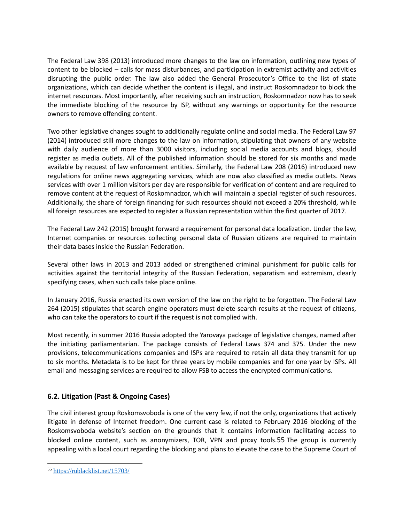The Federal Law 398 (2013) introduced more changes to the law on information, outlining new types of content to be blocked – calls for mass disturbances, and participation in extremist activity and activities disrupting the public order. The law also added the General Prosecutor's Office to the list of state organizations, which can decide whether the content is illegal, and instruct Roskomnadzor to block the internet resources. Most importantly, after receiving such an instruction, Roskomnadzor now has to seek the immediate blocking of the resource by ISP, without any warnings or opportunity for the resource owners to remove offending content.

Two other legislative changes sought to additionally regulate online and social media. The Federal Law 97 (2014) introduced still more changes to the law on information, stipulating that owners of any website with daily audience of more than 3000 visitors, including social media accounts and blogs, should register as media outlets. All of the published information should be stored for six months and made available by request of law enforcement entities. Similarly, the Federal Law 208 (2016) introduced new regulations for online news aggregating services, which are now also classified as media outlets. News services with over 1 million visitors per day are responsible for verification of content and are required to remove content at the request of Roskomnadzor, which will maintain a special register of such resources. Additionally, the share of foreign financing for such resources should not exceed a 20% threshold, while all foreign resources are expected to register a Russian representation within the first quarter of 2017.

The Federal Law 242 (2015) brought forward a requirement for personal data localization. Under the law, Internet companies or resources collecting personal data of Russian citizens are required to maintain their data bases inside the Russian Federation.

Several other laws in 2013 and 2013 added or strengthened criminal punishment for public calls for activities against the territorial integrity of the Russian Federation, separatism and extremism, clearly specifying cases, when such calls take place online.

In January 2016, Russia enacted its own version of the law on the right to be forgotten. The Federal Law 264 (2015) stipulates that search engine operators must delete search results at the request of citizens, who can take the operators to court if the request is not complied with.

Most recently, in summer 2016 Russia adopted the Yarovaya package of legislative changes, named after the initiating parliamentarian. The package consists of Federal Laws 374 and 375. Under the new provisions, telecommunications companies and ISPs are required to retain all data they transmit for up to six months. Metadata is to be kept for three years by mobile companies and for one year by ISPs. All email and messaging services are required to allow FSB to access the encrypted communications.

# **6.2. Litigation (Past & Ongoing Cases)**

The civil interest group Roskomsvoboda is one of the very few, if not the only, organizations that actively litigate in defense of Internet freedom. One current case is related to February 2016 blocking of the Roskomsvoboda website's section on the grounds that it contains information facilitating access to blocked online content, such as anonymizers, TOR, VPN and proxy tools.55 The group is currently appealing with a local court regarding the blocking and plans to elevate the case to the Supreme Court of

<sup>55</sup> <https://rublacklist.net/15703/>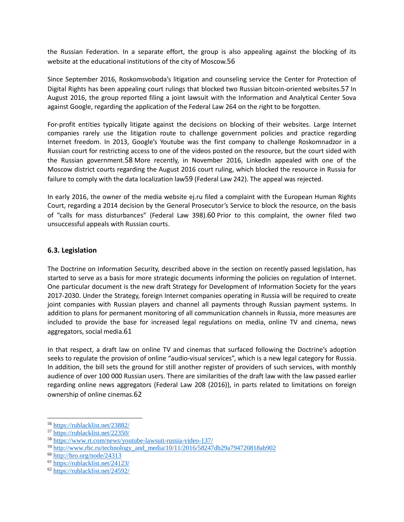the Russian Federation. In a separate effort, the group is also appealing against the blocking of its website at the educational institutions of the city of Moscow.56

Since September 2016, Roskomsvoboda's litigation and counseling service the Center for Protection of Digital Rights has been appealing court rulings that blocked two Russian bitcoin-oriented websites.57 In August 2016, the group reported filing a joint lawsuit with the Information and Analytical Center Sova against Google, regarding the application of the Federal Law 264 on the right to be forgotten.

For-profit entities typically litigate against the decisions on blocking of their websites. Large Internet companies rarely use the litigation route to challenge government policies and practice regarding Internet freedom. In 2013, Google's Youtube was the first company to challenge Roskomnadzor in a Russian court for restricting access to one of the videos posted on the resource, but the court sided with the Russian government.58 More recently, in November 2016, LinkedIn appealed with one of the Moscow district courts regarding the August 2016 court ruling, which blocked the resource in Russia for failure to comply with the data localization law59 (Federal Law 242). The appeal was rejected.

In early 2016, the owner of the media website ej.ru filed a complaint with the European Human Rights Court, regarding a 2014 decision by the General Prosecutor's Service to block the resource, on the basis of "calls for mass disturbances" (Federal Law 398).60 Prior to this complaint, the owner filed two unsuccessful appeals with Russian courts.

# **6.3. Legislation**

The Doctrine on Information Security, described above in the section on recently passed legislation, has started to serve as a basis for more strategic documents informing the policies on regulation of Internet. One particular document is the new draft Strategy for Development of Information Society for the years 2017-2030. Under the Strategy, foreign Internet companies operating in Russia will be required to create joint companies with Russian players and channel all payments through Russian payment systems. In addition to plans for permanent monitoring of all communication channels in Russia, more measures are included to provide the base for increased legal regulations on media, online TV and cinema, news aggregators, social media.61

In that respect, a draft law on online TV and cinemas that surfaced following the Doctrine's adoption seeks to regulate the provision of online "audio-visual services", which is a new legal category for Russia. In addition, the bill sets the ground for still another register of providers of such services, with monthly audience of over 100 000 Russian users. There are similarities of the draft law with the law passed earlier regarding online news aggregators (Federal Law 208 (2016)), in parts related to limitations on foreign ownership of online cinemas.62

<sup>56</sup> <https://rublacklist.net/23882/>

<sup>57</sup> <https://rublacklist.net/22350/>

<sup>58</sup> <https://www.rt.com/news/youtube-lawsuit-russia-video-137/>

<sup>59</sup> [http://www.rbc.ru/technology\\_and\\_media/10/11/2016/58247db29a794720818ab902](http://www.rbc.ru/technology_and_media/10/11/2016/58247db29a794720818ab902)

<sup>60</sup> <http://hro.org/node/24313>

<sup>61</sup> <https://rublacklist.net/24123/>

<sup>62</sup> <https://rublacklist.net/24592/>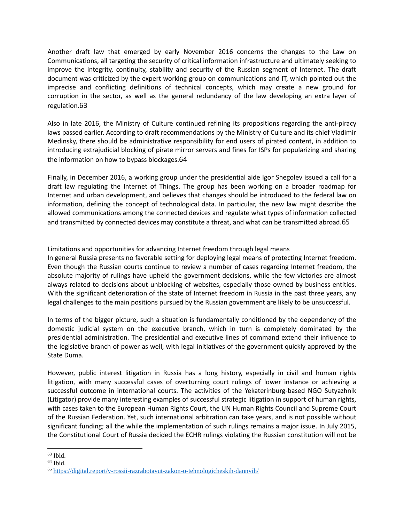Another draft law that emerged by early November 2016 concerns the changes to the Law on Communications, all targeting the security of critical information infrastructure and ultimately seeking to improve the integrity, continuity, stability and security of the Russian segment of Internet. The draft document was criticized by the expert working group on communications and IT, which pointed out the imprecise and conflicting definitions of technical concepts, which may create a new ground for corruption in the sector, as well as the general redundancy of the law developing an extra layer of regulation.63

Also in late 2016, the Ministry of Culture continued refining its propositions regarding the anti-piracy laws passed earlier. According to draft recommendations by the Ministry of Culture and its chief Vladimir Medinsky, there should be administrative responsibility for end users of pirated content, in addition to introducing extrajudicial blocking of pirate mirror servers and fines for ISPs for popularizing and sharing the information on how to bypass blockages.64

Finally, in December 2016, a working group under the presidential aide Igor Shegolev issued a call for a draft law regulating the Internet of Things. The group has been working on a broader roadmap for Internet and urban development, and believes that changes should be introduced to the federal law on information, defining the concept of technological data. In particular, the new law might describe the allowed communications among the connected devices and regulate what types of information collected and transmitted by connected devices may constitute a threat, and what can be transmitted abroad.65

Limitations and opportunities for advancing Internet freedom through legal means

In general Russia presents no favorable setting for deploying legal means of protecting Internet freedom. Even though the Russian courts continue to review a number of cases regarding Internet freedom, the absolute majority of rulings have upheld the government decisions, while the few victories are almost always related to decisions about unblocking of websites, especially those owned by business entities. With the significant deterioration of the state of Internet freedom in Russia in the past three years, any legal challenges to the main positions pursued by the Russian government are likely to be unsuccessful.

In terms of the bigger picture, such a situation is fundamentally conditioned by the dependency of the domestic judicial system on the executive branch, which in turn is completely dominated by the presidential administration. The presidential and executive lines of command extend their influence to the legislative branch of power as well, with legal initiatives of the government quickly approved by the State Duma.

However, public interest litigation in Russia has a long history, especially in civil and human rights litigation, with many successful cases of overturning court rulings of lower instance or achieving a successful outcome in international courts. The activities of the Yekaterinburg-based NGO Sutyazhnik (Litigator) provide many interesting examples of successful strategic litigation in support of human rights, with cases taken to the European Human Rights Court, the UN Human Rights Council and Supreme Court of the Russian Federation. Yet, such international arbitration can take years, and is not possible without significant funding; all the while the implementation of such rulings remains a major issue. In July 2015, the Constitutional Court of Russia decided the ECHR rulings violating the Russian constitution will not be

 $\overline{\phantom{a}}$  $63$  Ibid.

 $64$  Ibid.

<sup>65</sup> <https://digital.report/v-rossii-razrabotayut-zakon-o-tehnologicheskih-dannyih/>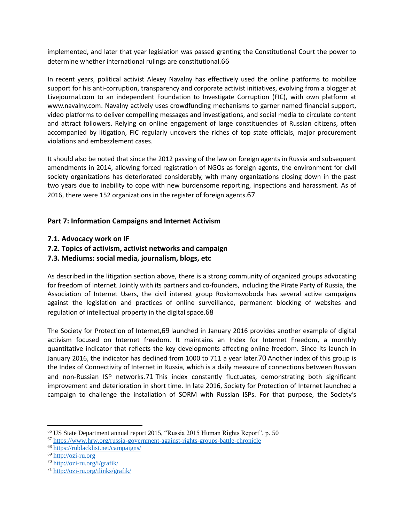implemented, and later that year legislation was passed granting the Constitutional Court the power to determine whether international rulings are constitutional.66

In recent years, political activist Alexey Navalny has effectively used the online platforms to mobilize support for his anti-corruption, transparency and corporate activist initiatives, evolving from a blogger at Livejournal.com to an independent Foundation to Investigate Corruption (FIC), with own platform at www.navalny.com. Navalny actively uses crowdfunding mechanisms to garner named financial support, video platforms to deliver compelling messages and investigations, and social media to circulate content and attract followers. Relying on online engagement of large constituencies of Russian citizens, often accompanied by litigation, FIC regularly uncovers the riches of top state officials, major procurement violations and embezzlement cases.

It should also be noted that since the 2012 passing of the law on foreign agents in Russia and subsequent amendments in 2014, allowing forced registration of NGOs as foreign agents, the environment for civil society organizations has deteriorated considerably, with many organizations closing down in the past two years due to inability to cope with new burdensome reporting, inspections and harassment. As of 2016, there were 152 organizations in the register of foreign agents.67

# **Part 7: Information Campaigns and Internet Activism**

- **7.1. Advocacy work on IF**
- **7.2. Topics of activism, activist networks and campaign**
- **7.3. Mediums: social media, journalism, blogs, etc**

As described in the litigation section above, there is a strong community of organized groups advocating for freedom of Internet. Jointly with its partners and co-founders, including the Pirate Party of Russia, the Association of Internet Users, the civil interest group Roskomsvoboda has several active campaigns against the legislation and practices of online surveillance, permanent blocking of websites and regulation of intellectual property in the digital space.68

The Society for Protection of Internet,69 launched in January 2016 provides another example of digital activism focused on Internet freedom. It maintains an Index for Internet Freedom, a monthly quantitative indicator that reflects the key developments affecting online freedom. Since its launch in January 2016, the indicator has declined from 1000 to 711 a year later.70 Another index of this group is the Index of Connectivity of Internet in Russia, which is a daily measure of connections between Russian and non-Russian ISP networks.71 This index constantly fluctuates, demonstrating both significant improvement and deterioration in short time. In late 2016, Society for Protection of Internet launched a campaign to challenge the installation of SORM with Russian ISPs. For that purpose, the Society's

<sup>66</sup> US State Department annual report 2015, "Russia 2015 Human Rights Report", p. 50

<sup>67</sup> <https://www.hrw.org/russia-government-against-rights-groups-battle-chronicle>

<sup>68</sup> <https://rublacklist.net/campaigns/>

<sup>69</sup> [http://ozi-ru.org](http://ozi-ru.org/)

<sup>70</sup> <http://ozi-ru.org/i/grafik/>

<sup>71</sup> <http://ozi-ru.org/ilinks/grafik/>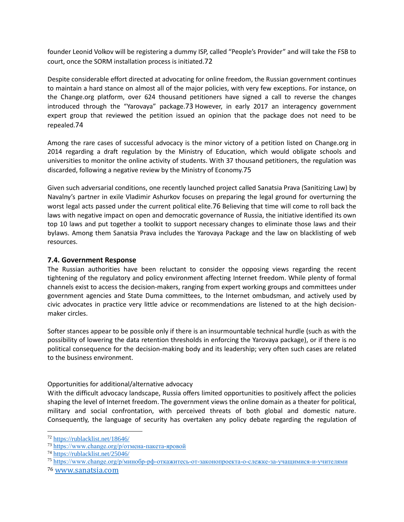founder Leonid Volkov will be registering a dummy ISP, called "People's Provider" and will take the FSB to court, once the SORM installation process is initiated.72

Despite considerable effort directed at advocating for online freedom, the Russian government continues to maintain a hard stance on almost all of the major policies, with very few exceptions. For instance, on the Change.org platform, over 624 thousand petitioners have signed a call to reverse the changes introduced through the "Yarovaya" package.73 However, in early 2017 an interagency government expert group that reviewed the petition issued an opinion that the package does not need to be repealed.74

Among the rare cases of successful advocacy is the minor victory of a petition listed on Change.org in 2014 regarding a draft regulation by the Ministry of Education, which would obligate schools and universities to monitor the online activity of students. With 37 thousand petitioners, the regulation was discarded, following a negative review by the Ministry of Economy.75

Given such adversarial conditions, one recently launched project called Sanatsia Prava (Sanitizing Law) by Navalny's partner in exile Vladimir Ashurkov focuses on preparing the legal ground for overturning the worst legal acts passed under the current political elite.76 Believing that time will come to roll back the laws with negative impact on open and democratic governance of Russia, the initiative identified its own top 10 laws and put together a toolkit to support necessary changes to eliminate those laws and their bylaws. Among them Sanatsia Prava includes the Yarovaya Package and the law on blacklisting of web resources.

# **7.4. Government Response**

The Russian authorities have been reluctant to consider the opposing views regarding the recent tightening of the regulatory and policy environment affecting Internet freedom. While plenty of formal channels exist to access the decision-makers, ranging from expert working groups and committees under government agencies and State Duma committees, to the Internet ombudsman, and actively used by civic advocates in practice very little advice or recommendations are listened to at the high decisionmaker circles.

Softer stances appear to be possible only if there is an insurmountable technical hurdle (such as with the possibility of lowering the data retention thresholds in enforcing the Yarovaya package), or if there is no political consequence for the decision-making body and its leadership; very often such cases are related to the business environment.

# Opportunities for additional/alternative advocacy

With the difficult advocacy landscape, Russia offers limited opportunities to positively affect the policies shaping the level of Internet freedom. The government views the online domain as a theater for political, military and social confrontation, with perceived threats of both global and domestic nature. Consequently, the language of security has overtaken any policy debate regarding the regulation of

l

<sup>72</sup> <https://rublacklist.net/18646/>

<sup>73</sup> <https://www.change.org/p/отмена-пакета-яровой>

<sup>74</sup> <https://rublacklist.net/25046/>

<sup>75</sup> <https://www.change.org/p/минобр-рф-откажитесь-от-законопроекта-о-слежке-за-учащимися-и-учителями>

<sup>76</sup> [www.sanatsia.com](http://www.sanatsia.com/)